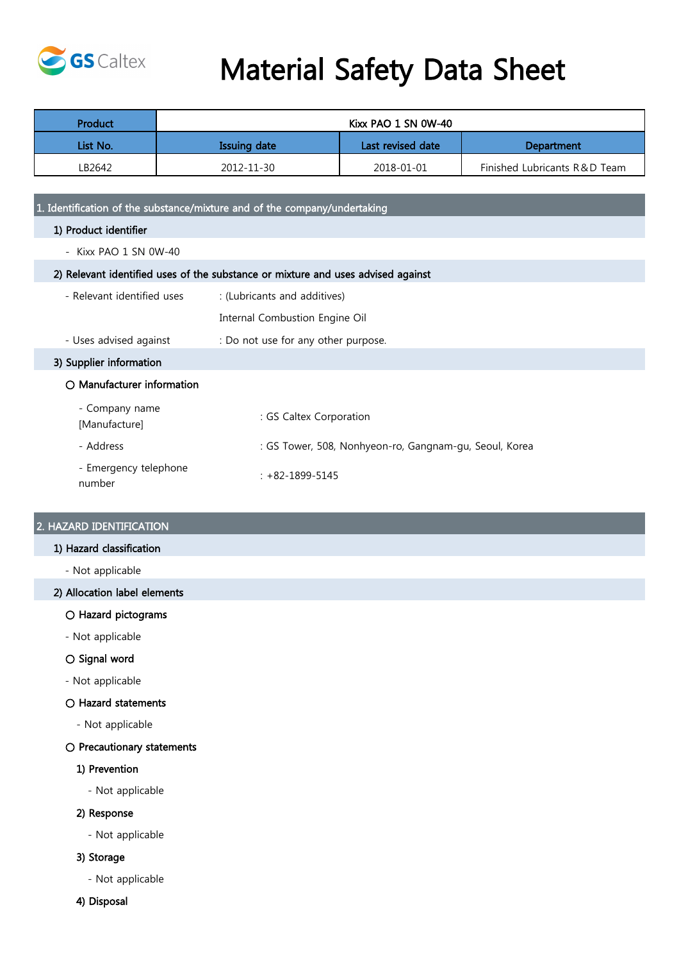

# Material Safety Data Sheet

| Product  | Kixx PAO 1 SN 0W-40 |                                        |                              |
|----------|---------------------|----------------------------------------|------------------------------|
| List No. | <b>Issuing date</b> | Last revised date<br><b>Department</b> |                              |
| LB2642   | 2012-11-30          | 2018-01-01                             | Finished Lubricants R&D Team |

1. Identification of the substance/mixture and of the company/undertaking

- 1) Product identifier
	- Kixx PAO 1 SN 0W-40

# 2) Relevant identified uses of the substance or mixture and uses advised against

- Relevant identified uses : (Lubricants and additives)
	- Internal Combustion Engine Oil
- Uses advised against : Do not use for any other purpose.

3) Supplier information

# ○ Manufacturer information

| - Company name<br>[Manufacture] | : GS Caltex Corporation                                |
|---------------------------------|--------------------------------------------------------|
| - Address                       | : GS Tower, 508, Nonhyeon-ro, Gangnam-gu, Seoul, Korea |
| - Emergency telephone<br>number | $: +82 - 1899 - 5145$                                  |

# 2. HAZARD IDENTIFICATION

# 1) Hazard classification

- Not applicable

# 2) Allocation label elements

# ○ Hazard pictograms

- Not applicable

# ○ Signal word

- Not applicable

# ○ Hazard statements

- Not applicable

# ○ Precautionary statements

# 1) Prevention

- Not applicable

# 2) Response

- Not applicable

# 3) Storage

- Not applicable
- 4) Disposal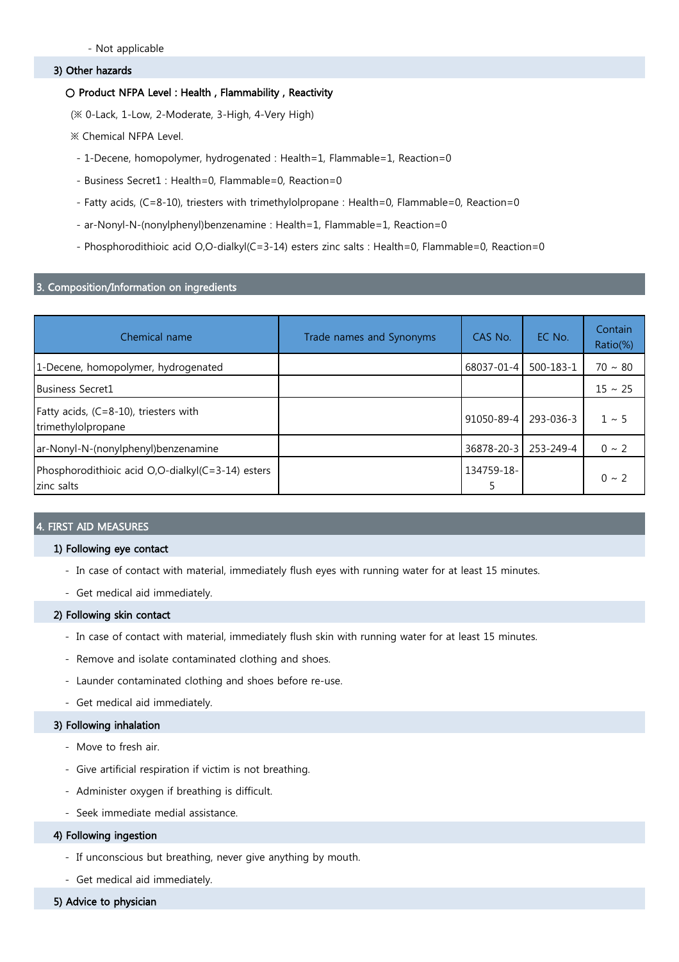# 3) Other hazards

## ○ Product NFPA Level : Health, Flammability, Reactivity

(※ 0-Lack, 1-Low, 2-Moderate, 3-High, 4-Very High)

※ Chemical NFPA Level.

- 1-Decene, homopolymer, hydrogenated : Health=1, Flammable=1, Reaction=0
- Business Secret1 : Health=0, Flammable=0, Reaction=0
- Fatty acids, (C=8-10), triesters with trimethylolpropane : Health=0, Flammable=0, Reaction=0
- ar-Nonyl-N-(nonylphenyl)benzenamine : Health=1, Flammable=1, Reaction=0
- Phosphorodithioic acid O,O-dialkyl(C=3-14) esters zinc salts : Health=0, Flammable=0, Reaction=0

# 3. Composition/Information on ingredients

| Chemical name                                                   | Trade names and Synonyms | CAS No.          | EC No.    | <b>Contain</b><br>Ratio(%) |
|-----------------------------------------------------------------|--------------------------|------------------|-----------|----------------------------|
| 1-Decene, homopolymer, hydrogenated                             |                          | 68037-01-4       | 500-183-1 | $70 \sim 80$               |
| Business Secret1                                                |                          |                  |           | $15 \sim 25$               |
| Fatty acids, $(C=8-10)$ , triesters with<br>trimethylolpropane  |                          | $91050 - 89 - 4$ | 293-036-3 | $1 \sim 5$                 |
| ar-Nonyl-N-(nonylphenyl)benzenamine                             |                          | 36878-20-3       | 253-249-4 | $0 \sim 2$                 |
| Phosphorodithioic acid O,O-dialkyl(C=3-14) esters<br>zinc salts |                          | 134759-18-       |           | $0 \sim 2$                 |

# FIRST AID MEASURES

## 1) Following eye contact

- In case of contact with material, immediately flush eyes with running water for at least 15 minutes.
- Get medical aid immediately.

## 2) Following skin contact

- In case of contact with material, immediately flush skin with running water for at least 15 minutes.
- Remove and isolate contaminated clothing and shoes.
- Launder contaminated clothing and shoes before re-use.
- Get medical aid immediately.

# 3) Following inhalation

- Move to fresh air.
- Give artificial respiration if victim is not breathing.
- Administer oxygen if breathing is difficult.
- Seek immediate medial assistance.

# 4) Following ingestion

- If unconscious but breathing, never give anything by mouth.
- Get medical aid immediately.
- 5) Advice to physician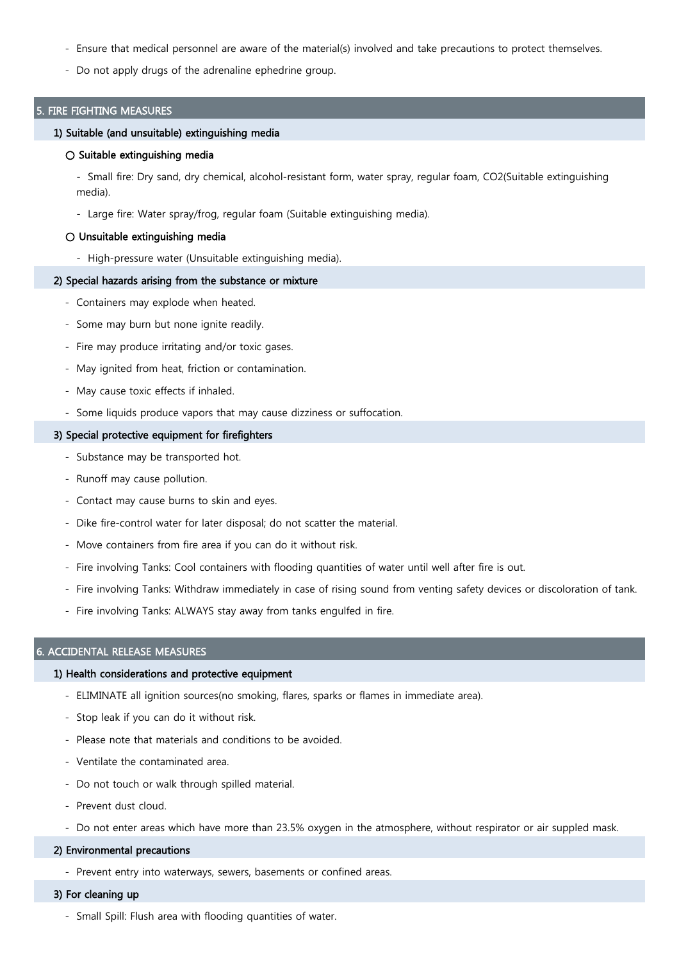- Ensure that medical personnel are aware of the material(s) involved and take precautions to protect themselves.
- Do not apply drugs of the adrenaline ephedrine group.

## 5. FIRE FIGHTING MEASURES

#### 1) Suitable (and unsuitable) extinguishing media

### ○ Suitable extinguishing media

- Small fire: Dry sand, dry chemical, alcohol-resistant form, water spray, regular foam, CO2(Suitable extinguishing media).

- Large fire: Water spray/frog, regular foam (Suitable extinguishing media).

#### ○ Unsuitable extinguishing media

- High-pressure water (Unsuitable extinguishing media).

## 2) Special hazards arising from the substance or mixture

- Containers may explode when heated.
- Some may burn but none ignite readily.
- Fire may produce irritating and/or toxic gases.
- May ignited from heat, friction or contamination.
- May cause toxic effects if inhaled.
- Some liquids produce vapors that may cause dizziness or suffocation.

#### 3) Special protective equipment for firefighters

- Substance may be transported hot.
- Runoff may cause pollution.
- Contact may cause burns to skin and eyes.
- Dike fire-control water for later disposal; do not scatter the material.
- Move containers from fire area if you can do it without risk.
- Fire involving Tanks: Cool containers with flooding quantities of water until well after fire is out.
- Fire involving Tanks: Withdraw immediately in case of rising sound from venting safety devices or discoloration of tank.
- Fire involving Tanks: ALWAYS stay away from tanks engulfed in fire.

## 6. ACCIDENTAL RELEASE MEASURES

## 1) Health considerations and protective equipment

- ELIMINATE all ignition sources(no smoking, flares, sparks or flames in immediate area).
- Stop leak if you can do it without risk.
- Please note that materials and conditions to be avoided.
- Ventilate the contaminated area.
- Do not touch or walk through spilled material.
- Prevent dust cloud.
- Do not enter areas which have more than 23.5% oxygen in the atmosphere, without respirator or air suppled mask.

# 2) Environmental precautions

- Prevent entry into waterways, sewers, basements or confined areas.

# 3) For cleaning up

- Small Spill: Flush area with flooding quantities of water.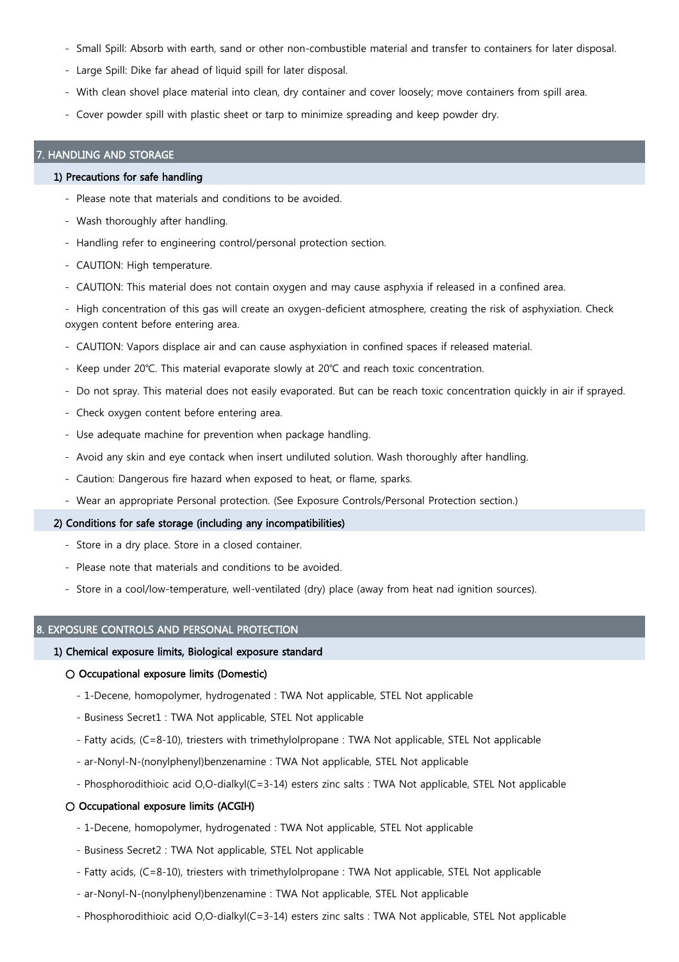- Small Spill: Absorb with earth, sand or other non-combustible material and transfer to containers for later disposal.
- Large Spill: Dike far ahead of liquid spill for later disposal.
- With clean shovel place material into clean, dry container and cover loosely; move containers from spill area.
- Cover powder spill with plastic sheet or tarp to minimize spreading and keep powder dry.

## HANDLING AND STORAGE

#### 1) Precautions for safe handling

- Please note that materials and conditions to be avoided.
- Wash thoroughly after handling.
- Handling refer to engineering control/personal protection section.
- CAUTION: High temperature.
- CAUTION: This material does not contain oxygen and may cause asphyxia if released in a confined area.

- High concentration of this gas will create an oxygen-deficient atmosphere, creating the risk of asphyxiation. Check oxygen content before entering area.

- CAUTION: Vapors displace air and can cause asphyxiation in confined spaces if released material.
- Keep under 20℃. This material evaporate slowly at 20℃ and reach toxic concentration.
- Do not spray. This material does not easily evaporated. But can be reach toxic concentration quickly in air if sprayed.
- Check oxygen content before entering area.
- Use adequate machine for prevention when package handling.
- Avoid any skin and eye contack when insert undiluted solution. Wash thoroughly after handling.
- Caution: Dangerous fire hazard when exposed to heat, or flame, sparks.
- Wear an appropriate Personal protection. (See Exposure Controls/Personal Protection section.)

# 2) Conditions for safe storage (including any incompatibilities)

- Store in a dry place. Store in a closed container.
- Please note that materials and conditions to be avoided.
- Store in a cool/low-temperature, well-ventilated (dry) place (away from heat nad ignition sources).

# **EXPOSURE CONTROLS AND PERSONAL PROTECTION**

#### 1) Chemical exposure limits, Biological exposure standard

## ○ Occupational exposure limits (Domestic)

- 1-Decene, homopolymer, hydrogenated : TWA Not applicable, STEL Not applicable
- Business Secret1 : TWA Not applicable, STEL Not applicable
- Fatty acids, (C=8-10), triesters with trimethylolpropane : TWA Not applicable, STEL Not applicable
- ar-Nonyl-N-(nonylphenyl)benzenamine : TWA Not applicable, STEL Not applicable
- Phosphorodithioic acid O,O-dialkyl(C=3-14) esters zinc salts : TWA Not applicable, STEL Not applicable

# ○ Occupational exposure limits (ACGIH)

- 1-Decene, homopolymer, hydrogenated : TWA Not applicable, STEL Not applicable
- Business Secret2 : TWA Not applicable, STEL Not applicable
- Fatty acids, (C=8-10), triesters with trimethylolpropane : TWA Not applicable, STEL Not applicable
- ar-Nonyl-N-(nonylphenyl)benzenamine : TWA Not applicable, STEL Not applicable
- Phosphorodithioic acid O,O-dialkyl(C=3-14) esters zinc salts : TWA Not applicable, STEL Not applicable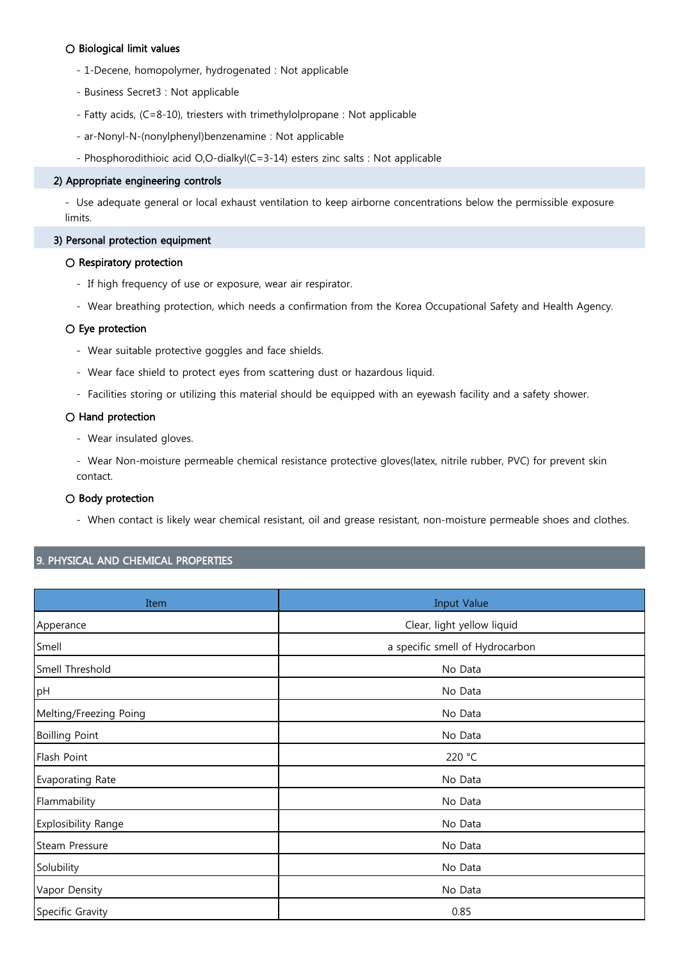# ○ Biological limit values

- 1-Decene, homopolymer, hydrogenated : Not applicable
- Business Secret3 : Not applicable
- Fatty acids, (C=8-10), triesters with trimethylolpropane : Not applicable
- ar-Nonyl-N-(nonylphenyl)benzenamine : Not applicable
- Phosphorodithioic acid O,O-dialkyl(C=3-14) esters zinc salts : Not applicable

## 2) Appropriate engineering controls

- Use adequate general or local exhaust ventilation to keep airborne concentrations below the permissible exposure limits.

# 3) Personal protection equipment

# ○ Respiratory protection

- If high frequency of use or exposure, wear air respirator.
- Wear breathing protection, which needs a confirmation from the Korea Occupational Safety and Health Agency.

# ○ Eye protection

- Wear suitable protective goggles and face shields.
- Wear face shield to protect eyes from scattering dust or hazardous liquid.
- Facilities storing or utilizing this material should be equipped with an eyewash facility and a safety shower.

## ○ Hand protection

- Wear insulated gloves.

- Wear Non-moisture permeable chemical resistance protective gloves(latex, nitrile rubber, PVC) for prevent skin contact.

# ○ Body protection

- When contact is likely wear chemical resistant, oil and grease resistant, non-moisture permeable shoes and clothes.

# 9. PHYSICAL AND CHEMICAL PROPERTIES

| Item                   | <b>Input Value</b>              |  |
|------------------------|---------------------------------|--|
| Apperance              | Clear, light yellow liquid      |  |
| Smell                  | a specific smell of Hydrocarbon |  |
| Smell Threshold        | No Data                         |  |
| pH                     | No Data                         |  |
| Melting/Freezing Poing | No Data                         |  |
| <b>Boilling Point</b>  | No Data                         |  |
| Flash Point            | 220 °C                          |  |
| Evaporating Rate       | No Data                         |  |
| Flammability           | No Data                         |  |
| Explosibility Range    | No Data                         |  |
| Steam Pressure         | No Data                         |  |
| Solubility             | No Data                         |  |
| Vapor Density          | No Data                         |  |
| Specific Gravity       | 0.85                            |  |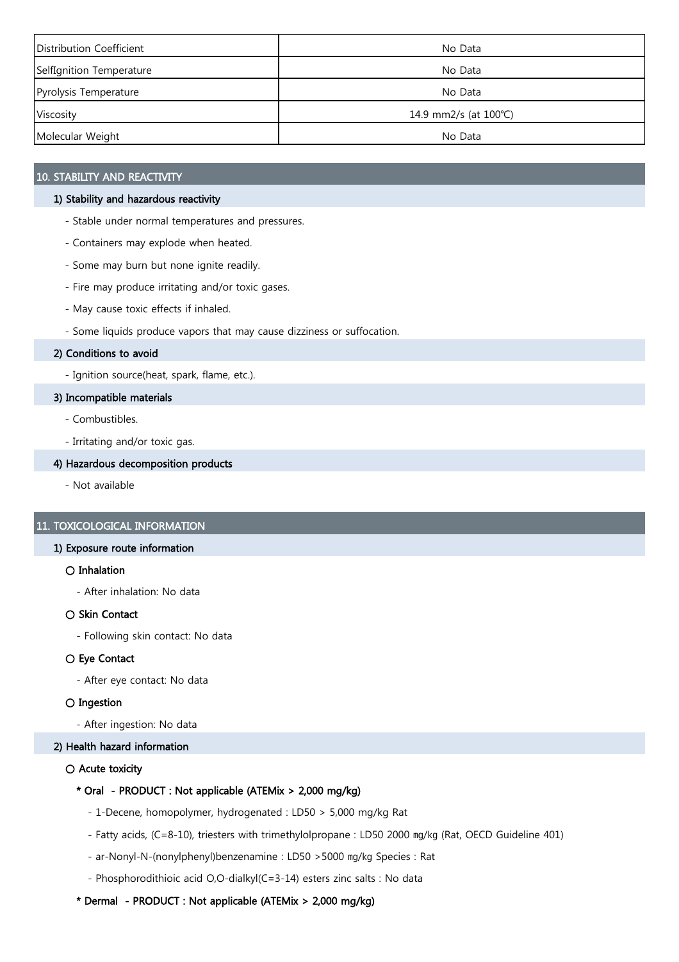| Distribution Coefficient | No Data               |
|--------------------------|-----------------------|
| SelfIgnition Temperature | No Data               |
| Pyrolysis Temperature    | No Data               |
| Viscosity                | 14.9 mm2/s (at 100°C) |
| Molecular Weight         | No Data               |

# 10. STABILITY AND REACTIVITY

# 1) Stability and hazardous reactivity

- Stable under normal temperatures and pressures.
- Containers may explode when heated.
- Some may burn but none ignite readily.
- Fire may produce irritating and/or toxic gases.
- May cause toxic effects if inhaled.
- Some liquids produce vapors that may cause dizziness or suffocation.

# 2) Conditions to avoid

- Ignition source(heat, spark, flame, etc.).

# 3) Incompatible materials

- Combustibles.
- Irritating and/or toxic gas.

# 4) Hazardous decomposition products

- Not available

# 11. TOXICOLOGICAL INFORMATION

# 1) Exposure route information

# ○ Inhalation

- After inhalation: No data

# ○ Skin Contact

- Following skin contact: No data

# ○ Eye Contact

- After eye contact: No data

# ○ Ingestion

- After ingestion: No data

# 2) Health hazard information

# ○ Acute toxicity

# \* Oral - PRODUCT : Not applicable (ATEMix > 2,000 mg/kg)

- 1-Decene, homopolymer, hydrogenated : LD50 > 5,000 mg/kg Rat
- Fatty acids, (C=8-10), triesters with trimethylolpropane : LD50 2000 ㎎/㎏ (Rat, OECD Guideline 401)
- ar-Nonyl-N-(nonylphenyl)benzenamine : LD50 >5000 ㎎/㎏ Species : Rat
- Phosphorodithioic acid O,O-dialkyl(C=3-14) esters zinc salts : No data

# \* Dermal - PRODUCT : Not applicable (ATEMix > 2,000 mg/kg)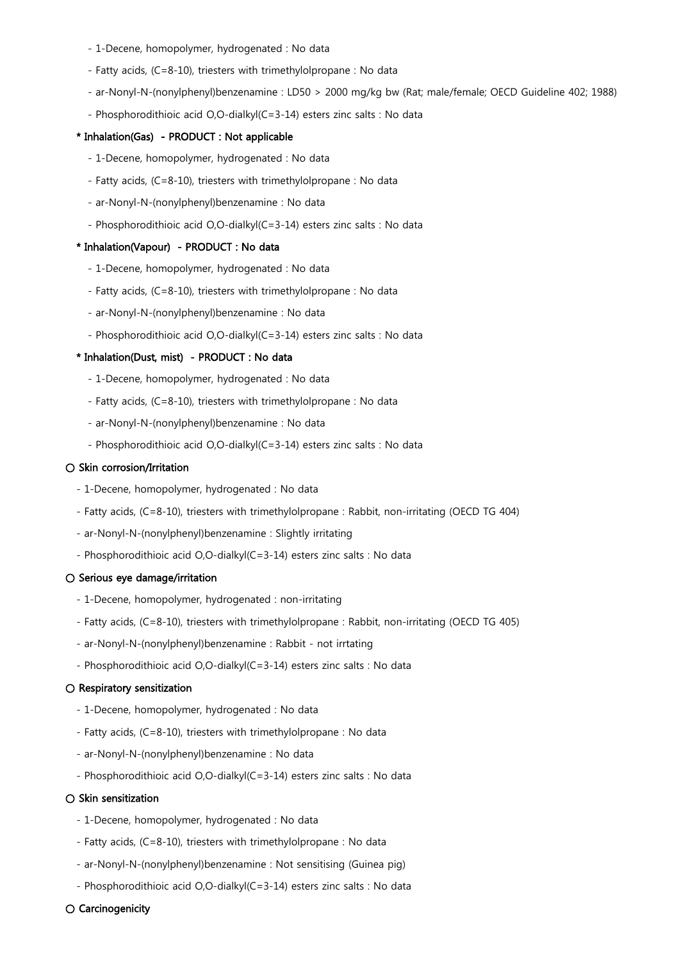- 1-Decene, homopolymer, hydrogenated : No data
- Fatty acids, (C=8-10), triesters with trimethylolpropane : No data
- ar-Nonyl-N-(nonylphenyl)benzenamine : LD50 > 2000 mg/kg bw (Rat; male/female; OECD Guideline 402; 1988)
- Phosphorodithioic acid O,O-dialkyl(C=3-14) esters zinc salts : No data

#### \* Inhalation(Gas) - PRODUCT : Not applicable

- 1-Decene, homopolymer, hydrogenated : No data
- Fatty acids, (C=8-10), triesters with trimethylolpropane : No data
- ar-Nonyl-N-(nonylphenyl)benzenamine : No data
- Phosphorodithioic acid O,O-dialkyl(C=3-14) esters zinc salts : No data

## \* Inhalation(Vapour) - PRODUCT : No data

- 1-Decene, homopolymer, hydrogenated : No data
- Fatty acids, (C=8-10), triesters with trimethylolpropane : No data
- ar-Nonyl-N-(nonylphenyl)benzenamine : No data
- Phosphorodithioic acid O,O-dialkyl(C=3-14) esters zinc salts : No data

# \* Inhalation(Dust, mist) - PRODUCT : No data

- 1-Decene, homopolymer, hydrogenated : No data
- Fatty acids, (C=8-10), triesters with trimethylolpropane : No data
- ar-Nonyl-N-(nonylphenyl)benzenamine : No data
- Phosphorodithioic acid O,O-dialkyl(C=3-14) esters zinc salts : No data

## ○ Skin corrosion/Irritation

- 1-Decene, homopolymer, hydrogenated : No data
- Fatty acids, (C=8-10), triesters with trimethylolpropane : Rabbit, non-irritating (OECD TG 404)
- ar-Nonyl-N-(nonylphenyl)benzenamine : Slightly irritating
- Phosphorodithioic acid O,O-dialkyl(C=3-14) esters zinc salts : No data

# ○ Serious eye damage/irritation

- 1-Decene, homopolymer, hydrogenated : non-irritating
- Fatty acids, (C=8-10), triesters with trimethylolpropane : Rabbit, non-irritating (OECD TG 405)
- ar-Nonyl-N-(nonylphenyl)benzenamine : Rabbit not irrtating
- Phosphorodithioic acid O,O-dialkyl(C=3-14) esters zinc salts : No data

## ○ Respiratory sensitization

- 1-Decene, homopolymer, hydrogenated : No data
- Fatty acids, (C=8-10), triesters with trimethylolpropane : No data
- ar-Nonyl-N-(nonylphenyl)benzenamine : No data
- Phosphorodithioic acid O,O-dialkyl(C=3-14) esters zinc salts : No data

#### $\bigcirc$  Skin sensitization

- 1-Decene, homopolymer, hydrogenated : No data
- Fatty acids, (C=8-10), triesters with trimethylolpropane : No data
- ar-Nonyl-N-(nonylphenyl)benzenamine : Not sensitising (Guinea pig)
- Phosphorodithioic acid O,O-dialkyl(C=3-14) esters zinc salts : No data

# ○ Carcinogenicity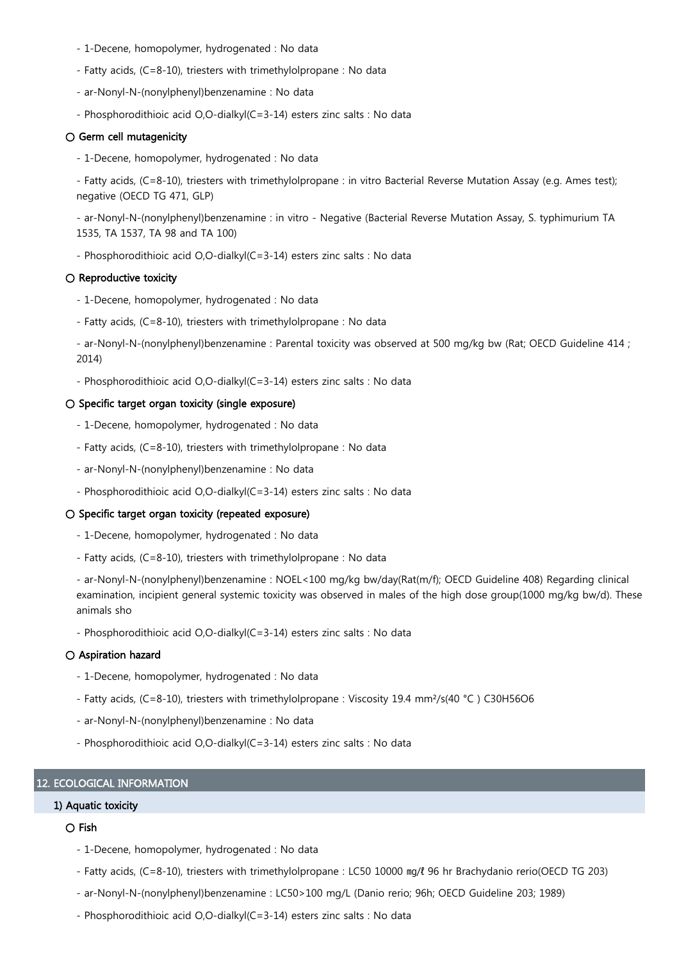- 1-Decene, homopolymer, hydrogenated : No data
- Fatty acids, (C=8-10), triesters with trimethylolpropane : No data
- ar-Nonyl-N-(nonylphenyl)benzenamine : No data
- Phosphorodithioic acid O,O-dialkyl(C=3-14) esters zinc salts : No data

## $\bigcirc$  Germ cell mutagenicity

- 1-Decene, homopolymer, hydrogenated : No data

- Fatty acids, (C=8-10), triesters with trimethylolpropane : in vitro Bacterial Reverse Mutation Assay (e.g. Ames test); negative (OECD TG 471, GLP)

- ar-Nonyl-N-(nonylphenyl)benzenamine : in vitro - Negative (Bacterial Reverse Mutation Assay, S. typhimurium TA 1535, TA 1537, TA 98 and TA 100)

- Phosphorodithioic acid O,O-dialkyl(C=3-14) esters zinc salts : No data

#### $\bigcirc$  Reproductive toxicity

- 1-Decene, homopolymer, hydrogenated : No data
- Fatty acids, (C=8-10), triesters with trimethylolpropane : No data
- ar-Nonyl-N-(nonylphenyl)benzenamine : Parental toxicity was observed at 500 mg/kg bw (Rat; OECD Guideline 414 ; 2014)
- Phosphorodithioic acid O,O-dialkyl(C=3-14) esters zinc salts : No data

#### ○ Specific target organ toxicity (single exposure)

- 1-Decene, homopolymer, hydrogenated : No data
- Fatty acids, (C=8-10), triesters with trimethylolpropane : No data
- ar-Nonyl-N-(nonylphenyl)benzenamine : No data
- Phosphorodithioic acid O,O-dialkyl(C=3-14) esters zinc salts : No data

## ○ Specific target organ toxicity (repeated exposure)

- 1-Decene, homopolymer, hydrogenated : No data
- Fatty acids, (C=8-10), triesters with trimethylolpropane : No data

- ar-Nonyl-N-(nonylphenyl)benzenamine : NOEL<100 mg/kg bw/day(Rat(m/f); OECD Guideline 408) Regarding clinical examination, incipient general systemic toxicity was observed in males of the high dose group(1000 mg/kg bw/d). These animals sho

- Phosphorodithioic acid O,O-dialkyl(C=3-14) esters zinc salts : No data

## ○ Aspiration hazard

- 1-Decene, homopolymer, hydrogenated : No data
- Fatty acids, (C=8-10), triesters with trimethylolpropane : Viscosity 19.4 mm²/s(40 °C ) C30H56O6
- ar-Nonyl-N-(nonylphenyl)benzenamine : No data
- Phosphorodithioic acid O,O-dialkyl(C=3-14) esters zinc salts : No data

# 12. ECOLOGICAL INFORMATION

# 1) Aquatic toxicity

# ○ Fish

- 1-Decene, homopolymer, hydrogenated : No data
- Fatty acids, (C=8-10), triesters with trimethylolpropane : LC50 10000 ㎎/ℓ 96 hr Brachydanio rerio(OECD TG 203)
- ar-Nonyl-N-(nonylphenyl)benzenamine : LC50>100 mg/L (Danio rerio; 96h; OECD Guideline 203; 1989)
- Phosphorodithioic acid O,O-dialkyl(C=3-14) esters zinc salts : No data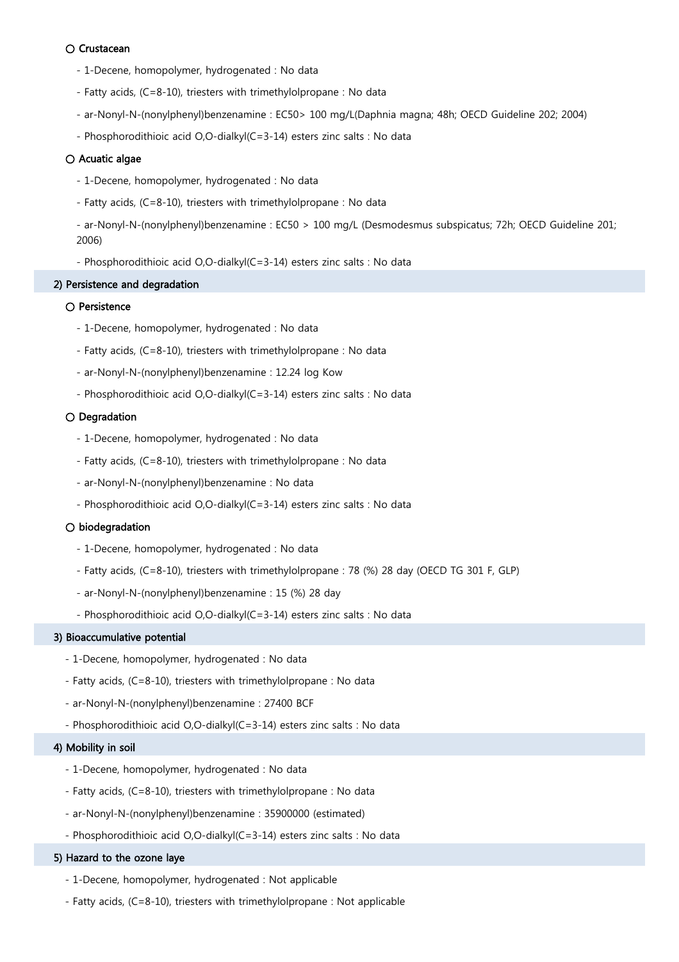# ○ Crustacean

- 1-Decene, homopolymer, hydrogenated : No data
- Fatty acids, (C=8-10), triesters with trimethylolpropane : No data
- ar-Nonyl-N-(nonylphenyl)benzenamine : EC50> 100 mg/L(Daphnia magna; 48h; OECD Guideline 202; 2004)
- Phosphorodithioic acid O,O-dialkyl(C=3-14) esters zinc salts : No data

# ○ Acuatic algae

- 1-Decene, homopolymer, hydrogenated : No data
- Fatty acids, (C=8-10), triesters with trimethylolpropane : No data

- ar-Nonyl-N-(nonylphenyl)benzenamine : EC50 > 100 mg/L (Desmodesmus subspicatus; 72h; OECD Guideline 201; 2006)

- Phosphorodithioic acid O,O-dialkyl(C=3-14) esters zinc salts : No data

## 2) Persistence and degradation

# ○ Persistence

- 1-Decene, homopolymer, hydrogenated : No data
- Fatty acids, (C=8-10), triesters with trimethylolpropane : No data
- ar-Nonyl-N-(nonylphenyl)benzenamine : 12.24 log Kow
- Phosphorodithioic acid O,O-dialkyl(C=3-14) esters zinc salts : No data

## ○ Degradation

- 1-Decene, homopolymer, hydrogenated : No data
- Fatty acids, (C=8-10), triesters with trimethylolpropane : No data
- ar-Nonyl-N-(nonylphenyl)benzenamine : No data
- Phosphorodithioic acid O,O-dialkyl(C=3-14) esters zinc salts : No data

## ○ biodegradation

- 1-Decene, homopolymer, hydrogenated : No data
- Fatty acids, (C=8-10), triesters with trimethylolpropane : 78 (%) 28 day (OECD TG 301 F, GLP)
- ar-Nonyl-N-(nonylphenyl)benzenamine : 15 (%) 28 day
- Phosphorodithioic acid O,O-dialkyl(C=3-14) esters zinc salts : No data

#### 3) Bioaccumulative potential

- 1-Decene, homopolymer, hydrogenated : No data
- Fatty acids, (C=8-10), triesters with trimethylolpropane : No data
- ar-Nonyl-N-(nonylphenyl)benzenamine : 27400 BCF
- Phosphorodithioic acid O,O-dialkyl(C=3-14) esters zinc salts : No data

# 4) Mobility in soil

- 1-Decene, homopolymer, hydrogenated : No data
- Fatty acids, (C=8-10), triesters with trimethylolpropane : No data
- ar-Nonyl-N-(nonylphenyl)benzenamine : 35900000 (estimated)
- Phosphorodithioic acid O,O-dialkyl(C=3-14) esters zinc salts : No data

# 5) Hazard to the ozone laye

- 1-Decene, homopolymer, hydrogenated : Not applicable
- Fatty acids, (C=8-10), triesters with trimethylolpropane : Not applicable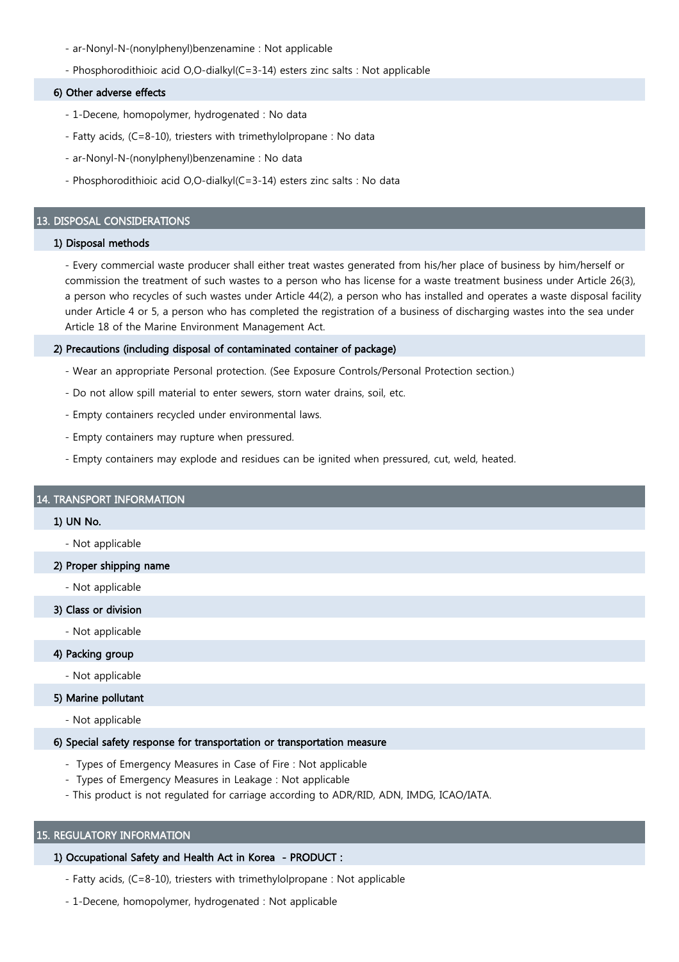- ar-Nonyl-N-(nonylphenyl)benzenamine : Not applicable
- Phosphorodithioic acid O,O-dialkyl(C=3-14) esters zinc salts : Not applicable

#### 6) Other adverse effects

- 1-Decene, homopolymer, hydrogenated : No data
- Fatty acids, (C=8-10), triesters with trimethylolpropane : No data
- ar-Nonyl-N-(nonylphenyl)benzenamine : No data
- Phosphorodithioic acid O,O-dialkyl(C=3-14) esters zinc salts : No data

## 13. DISPOSAL CONSIDERATIONS

# 1) Disposal methods

- Every commercial waste producer shall either treat wastes generated from his/her place of business by him/herself or commission the treatment of such wastes to a person who has license for a waste treatment business under Article 26(3), a person who recycles of such wastes under Article 44(2), a person who has installed and operates a waste disposal facility under Article 4 or 5, a person who has completed the registration of a business of discharging wastes into the sea under Article 18 of the Marine Environment Management Act.

## 2) Precautions (including disposal of contaminated container of package)

- Wear an appropriate Personal protection. (See Exposure Controls/Personal Protection section.)
- Do not allow spill material to enter sewers, storn water drains, soil, etc.
- Empty containers recycled under environmental laws.
- Empty containers may rupture when pressured.
- Empty containers may explode and residues can be ignited when pressured, cut, weld, heated.

# 14. TRANSPORT INFORMATION

#### 1) UN No.

- Not applicable
- 2) Proper shipping name
	- Not applicable
- 3) Class or division
	- Not applicable

# 4) Packing group

- Not applicable

# 5) Marine pollutant

- Not applicable

## 6) Special safety response for transportation or transportation measure

- Types of Emergency Measures in Case of Fire : Not applicable
- Types of Emergency Measures in Leakage : Not applicable
- This product is not regulated for carriage according to ADR/RID, ADN, IMDG, ICAO/IATA.

# 15. REGULATORY INFORMATION

# 1) Occupational Safety and Health Act in Korea - PRODUCT :

- Fatty acids, (C=8-10), triesters with trimethylolpropane : Not applicable
- 1-Decene, homopolymer, hydrogenated : Not applicable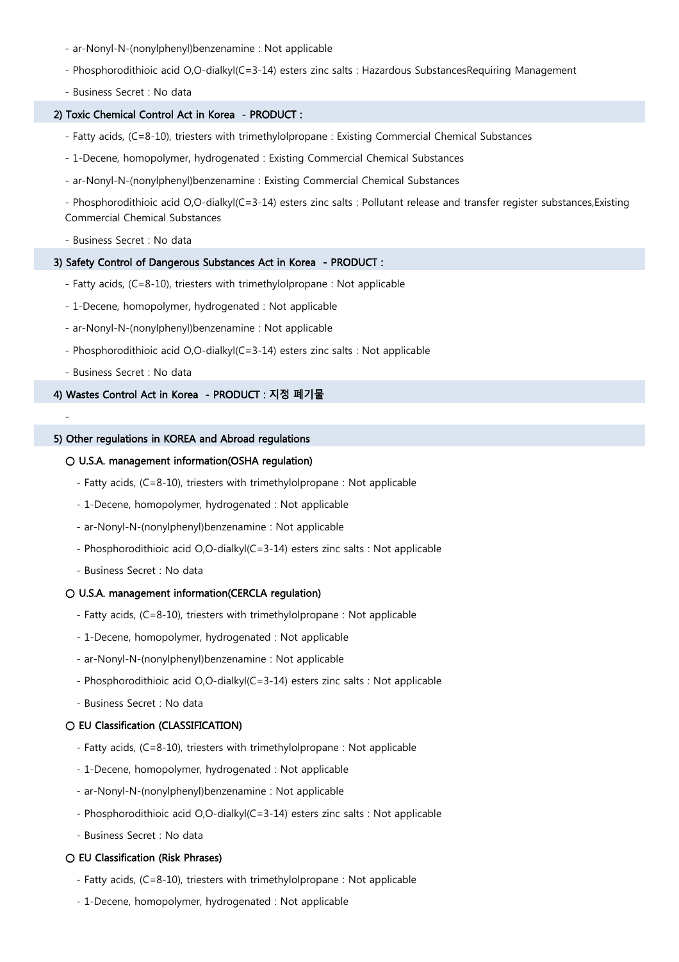- ar-Nonyl-N-(nonylphenyl)benzenamine : Not applicable
- Phosphorodithioic acid O,O-dialkyl(C=3-14) esters zinc salts : Hazardous SubstancesRequiring Management
- Business Secret : No data

## 2) Toxic Chemical Control Act in Korea - PRODUCT :

- Fatty acids, (C=8-10), triesters with trimethylolpropane : Existing Commercial Chemical Substances
- 1-Decene, homopolymer, hydrogenated : Existing Commercial Chemical Substances
- ar-Nonyl-N-(nonylphenyl)benzenamine : Existing Commercial Chemical Substances

- Phosphorodithioic acid O,O-dialkyl(C=3-14) esters zinc salts : Pollutant release and transfer register substances,Existing Commercial Chemical Substances

- Business Secret : No data

## 3) Safety Control of Dangerous Substances Act in Korea - PRODUCT :

- Fatty acids, (C=8-10), triesters with trimethylolpropane : Not applicable
- 1-Decene, homopolymer, hydrogenated : Not applicable
- ar-Nonyl-N-(nonylphenyl)benzenamine : Not applicable
- Phosphorodithioic acid O,O-dialkyl(C=3-14) esters zinc salts : Not applicable
- Business Secret : No data

-

## 4) Wastes Control Act in Korea - PRODUCT : 지정 폐기물

#### 5) Other regulations in KOREA and Abroad regulations

## ○ U.S.A. management information(OSHA regulation)

- Fatty acids, (C=8-10), triesters with trimethylolpropane : Not applicable
- 1-Decene, homopolymer, hydrogenated : Not applicable
- ar-Nonyl-N-(nonylphenyl)benzenamine : Not applicable
- Phosphorodithioic acid O,O-dialkyl(C=3-14) esters zinc salts : Not applicable
- Business Secret : No data

## ○ U.S.A. management information(CERCLA regulation)

- Fatty acids, (C=8-10), triesters with trimethylolpropane : Not applicable
- 1-Decene, homopolymer, hydrogenated : Not applicable
- ar-Nonyl-N-(nonylphenyl)benzenamine : Not applicable
- Phosphorodithioic acid O,O-dialkyl(C=3-14) esters zinc salts : Not applicable
- Business Secret : No data

# ○ EU Classification (CLASSIFICATION)

- Fatty acids, (C=8-10), triesters with trimethylolpropane : Not applicable
- 1-Decene, homopolymer, hydrogenated : Not applicable
- ar-Nonyl-N-(nonylphenyl)benzenamine : Not applicable
- Phosphorodithioic acid O,O-dialkyl(C=3-14) esters zinc salts : Not applicable
- Business Secret : No data

# $\bigcirc$  EU Classification (Risk Phrases)

- Fatty acids, (C=8-10), triesters with trimethylolpropane : Not applicable
- 1-Decene, homopolymer, hydrogenated : Not applicable